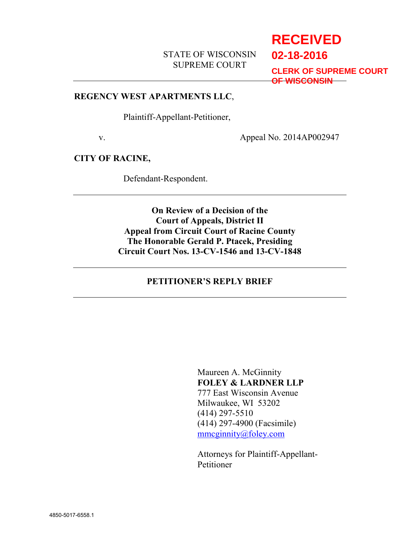## STATE OF WISCONSIN SUPREME COURT

# **RECEIVED**

**02-18-2016**

**CLERK OF SUPREME COURT OF WISCONSIN**

#### **REGENCY WEST APARTMENTS LLC**,

Plaintiff-Appellant-Petitioner,

v. Appeal No. 2014AP002947

#### **CITY OF RACINE,**

Defendant-Respondent.

**On Review of a Decision of the Court of Appeals, District II Appeal from Circuit Court of Racine County The Honorable Gerald P. Ptacek, Presiding Circuit Court Nos. 13-CV-1546 and 13-CV-1848**

#### **PETITIONER'S REPLY BRIEF**

Maureen A. McGinnity **FOLEY & LARDNER LLP** 777 East Wisconsin Avenue Milwaukee, WI 53202 (414) 297-5510 (414) 297-4900 (Facsimile) mmcginnity@foley.com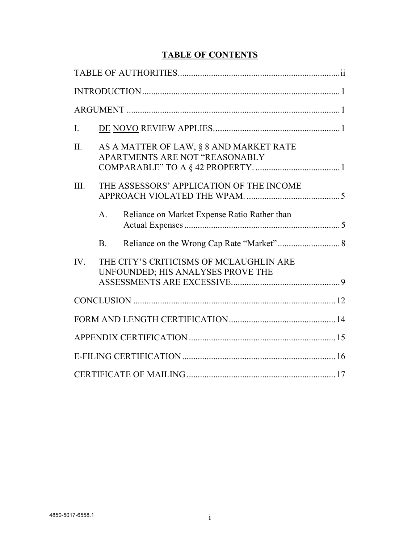## **TABLE OF CONTENTS**

| $\mathbf{I}$ . |                                                                              |  |
|----------------|------------------------------------------------------------------------------|--|
| II.            | AS A MATTER OF LAW, § 8 AND MARKET RATE<br>APARTMENTS ARE NOT "REASONABLY    |  |
| III.           | THE ASSESSORS' APPLICATION OF THE INCOME                                     |  |
|                | Reliance on Market Expense Ratio Rather than<br>$\mathbf{A}$ .               |  |
|                | B <sub>1</sub>                                                               |  |
| IV.            | THE CITY'S CRITICISMS OF MCLAUGHLIN ARE<br>UNFOUNDED; HIS ANALYSES PROVE THE |  |
|                |                                                                              |  |
|                |                                                                              |  |
|                |                                                                              |  |
|                |                                                                              |  |
|                |                                                                              |  |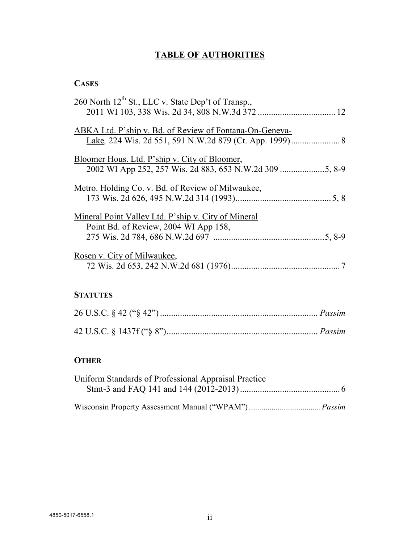## **TABLE OF AUTHORITIES**

## **CASES**

#### **STATUTES**

## **OTHER**

| Uniform Standards of Professional Appraisal Practice |  |
|------------------------------------------------------|--|
|                                                      |  |
|                                                      |  |
|                                                      |  |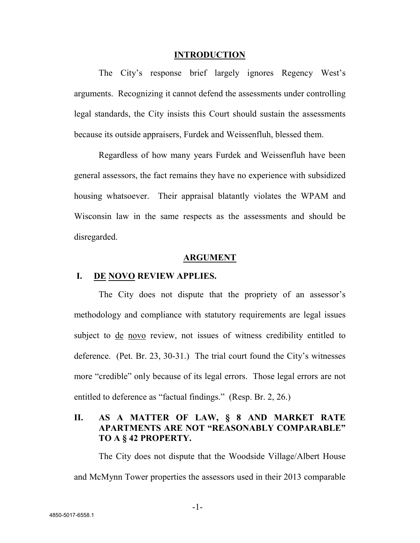#### **INTRODUCTION**

The City's response brief largely ignores Regency West's arguments. Recognizing it cannot defend the assessments under controlling legal standards, the City insists this Court should sustain the assessments because its outside appraisers, Furdek and Weissenfluh, blessed them.

Regardless of how many years Furdek and Weissenfluh have been general assessors, the fact remains they have no experience with subsidized housing whatsoever. Their appraisal blatantly violates the WPAM and Wisconsin law in the same respects as the assessments and should be disregarded.

#### **ARGUMENT**

#### **I. DE NOVO REVIEW APPLIES.**

The City does not dispute that the propriety of an assessor's methodology and compliance with statutory requirements are legal issues subject to <u>de novo</u> review, not issues of witness credibility entitled to deference. (Pet. Br. 23, 30-31.) The trial court found the City's witnesses more "credible" only because of its legal errors. Those legal errors are not entitled to deference as "factual findings." (Resp. Br. 2, 26.)

#### **II. AS A MATTER OF LAW, § 8 AND MARKET RATE APARTMENTS ARE NOT "REASONABLY COMPARABLE" TO A § 42 PROPERTY.**

The City does not dispute that the Woodside Village/Albert House and McMynn Tower properties the assessors used in their 2013 comparable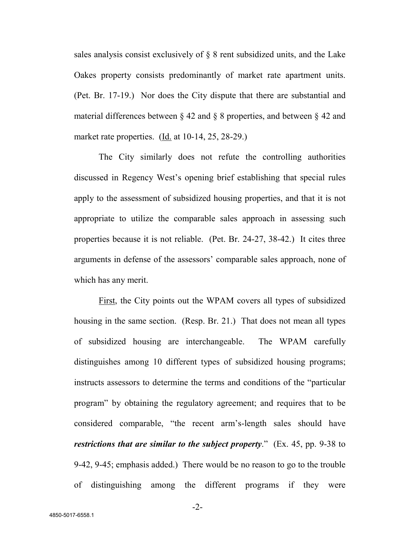sales analysis consist exclusively of § 8 rent subsidized units, and the Lake Oakes property consists predominantly of market rate apartment units. (Pet. Br. 17-19.) Nor does the City dispute that there are substantial and material differences between § 42 and § 8 properties, and between § 42 and market rate properties. (Id. at 10-14, 25, 28-29.)

The City similarly does not refute the controlling authorities discussed in Regency West's opening brief establishing that special rules apply to the assessment of subsidized housing properties, and that it is not appropriate to utilize the comparable sales approach in assessing such properties because it is not reliable. (Pet. Br. 24-27, 38-42.) It cites three arguments in defense of the assessors' comparable sales approach, none of which has any merit.

First, the City points out the WPAM covers all types of subsidized housing in the same section. (Resp. Br. 21.) That does not mean all types of subsidized housing are interchangeable. The WPAM carefully distinguishes among 10 different types of subsidized housing programs; instructs assessors to determine the terms and conditions of the "particular program" by obtaining the regulatory agreement; and requires that to be considered comparable, "the recent arm's-length sales should have *restrictions that are similar to the subject property*." (Ex. 45, pp. 9-38 to 9-42, 9-45; emphasis added.) There would be no reason to go to the trouble of distinguishing among the different programs if they were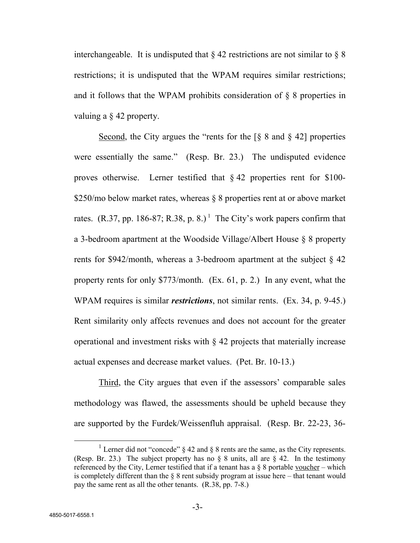interchangeable. It is undisputed that  $\S 42$  restrictions are not similar to  $\S 8$ restrictions; it is undisputed that the WPAM requires similar restrictions; and it follows that the WPAM prohibits consideration of  $\delta$  8 properties in valuing a § 42 property.

Second, the City argues the "rents for the  $\lceil \S 8 \rceil$  and  $\lceil \S 42 \rceil$  properties were essentially the same." (Resp. Br. 23.) The undisputed evidence proves otherwise. Lerner testified that  $\S 42$  properties rent for \$100-\$250/mo below market rates, whereas § 8 properties rent at or above market rates. (R.37, pp. 186-87; R.38, p. 8.)<sup>1</sup> The City's work papers confirm that a 3-bedroom apartment at the Woodside Village/Albert House § 8 property rents for \$942/month, whereas a 3-bedroom apartment at the subject § 42 property rents for only \$773/month. (Ex. 61, p. 2.) In any event, what the WPAM requires is similar *restrictions*, not similar rents. (Ex. 34, p. 9-45.) Rent similarity only affects revenues and does not account for the greater operational and investment risks with  $\S$  42 projects that materially increase actual expenses and decrease market values. (Pet. Br. 10-13.)

Third, the City argues that even if the assessors' comparable sales methodology was flawed, the assessments should be upheld because they are supported by the Furdek/Weissenfluh appraisal. (Resp. Br. 22-23, 36-

<sup>&</sup>lt;sup>1</sup> Lerner did not "concede"  $\S$  42 and  $\S$  8 rents are the same, as the City represents. (Resp. Br. 23.) The subject property has no  $\S$  8 units, all are  $\S$  42. In the testimony referenced by the City, Lerner testified that if a tenant has a  $\S$  8 portable voucher – which is completely different than the  $\S$  8 rent subsidy program at issue here – that tenant would pay the same rent as all the other tenants. (R.38, pp. 7-8.)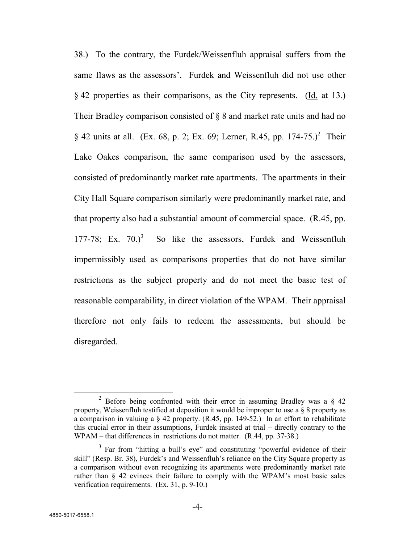38.) To the contrary, the Furdek/Weissenfluh appraisal suffers from the same flaws as the assessors'. Furdek and Weissenfluh did not use other § 42 properties as their comparisons, as the City represents. (Id. at 13.) Their Bradley comparison consisted of § 8 and market rate units and had no § 42 units at all. (Ex. 68, p. 2; Ex. 69; Lerner, R.45, pp.  $174-75.$ )<sup>2</sup> Their Lake Oakes comparison, the same comparison used by the assessors, consisted of predominantly market rate apartments. The apartments in their City Hall Square comparison similarly were predominantly market rate, and that property also had a substantial amount of commercial space. (R.45, pp.  $177-78$ ; Ex.  $70.$ <sup>3</sup> So like the assessors, Furdek and Weissenfluh impermissibly used as comparisons properties that do not have similar restrictions as the subject property and do not meet the basic test of reasonable comparability, in direct violation of the WPAM. Their appraisal therefore not only fails to redeem the assessments, but should be disregarded.

<sup>&</sup>lt;sup>2</sup> Before being confronted with their error in assuming Bradley was a  $\S$  42 property, Weissenfluh testified at deposition it would be improper to use a § 8 property as a comparison in valuing a  $\S$  42 property. (R.45, pp. 149-52.) In an effort to rehabilitate this crucial error in their assumptions, Furdek insisted at trial – directly contrary to the WPAM – that differences in restrictions do not matter. (R.44, pp. 37-38.)

<sup>&</sup>lt;sup>3</sup> Far from "hitting a bull's eye" and constituting "powerful evidence of their skill" (Resp. Br. 38), Furdek's and Weissenfluh's reliance on the City Square property as a comparison without even recognizing its apartments were predominantly market rate rather than § 42 evinces their failure to comply with the WPAM's most basic sales verification requirements. (Ex. 31, p. 9-10.)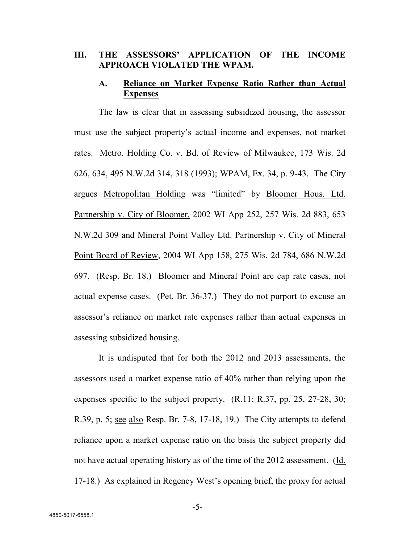#### **III. THE ASSESSORS' APPLICATION OF THE INCOME APPROACH VIOLATED THE WPAM.**

#### **A. Reliance on Market Expense Ratio Rather than Actual Expenses**

The law is clear that in assessing subsidized housing, the assessor must use the subject property's actual income and expenses, not market rates. Metro. Holding Co. v. Bd. of Review of Milwaukee, 173 Wis. 2d 626, 634, 495 N.W.2d 314, 318 (1993); WPAM, Ex. 34, p. 9-43. The City argues Metropolitan Holding was "limited" by Bloomer Hous. Ltd. Partnership v. City of Bloomer, 2002 WI App 252, 257 Wis. 2d 883, 653 N.W.2d 309 and Mineral Point Valley Ltd. Partnership v. City of Mineral Point Board of Review, 2004 WI App 158, 275 Wis. 2d 784, 686 N.W.2d 697. (Resp. Br. 18.) Bloomer and Mineral Point are cap rate cases, not actual expense cases. (Pet. Br. 36-37.) They do not purport to excuse an assessor's reliance on market rate expenses rather than actual expenses in assessing subsidized housing.

It is undisputed that for both the 2012 and 2013 assessments, the assessors used a market expense ratio of 40% rather than relying upon the expenses specific to the subject property.  $(R.11; R.37, pp. 25, 27-28, 30;$ R.39, p. 5; see also Resp. Br. 7-8, 17-18, 19.) The City attempts to defend reliance upon a market expense ratio on the basis the subject property did not have actual operating history as of the time of the 2012 assessment. (Id. 17-18.) As explained in Regency West's opening brief, the proxy for actual

-5-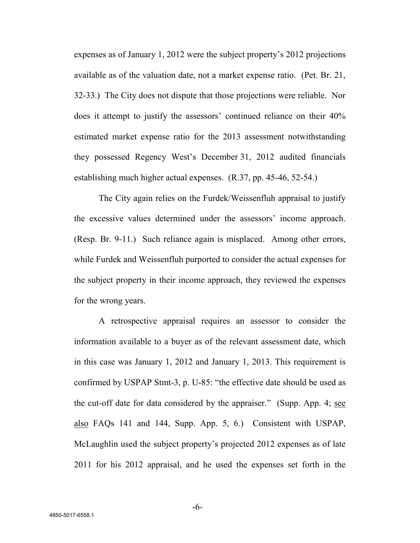expenses as of January 1, 2012 were the subject property's 2012 projections available as of the valuation date, not a market expense ratio. (Pet. Br. 21, 32-33.) The City does not dispute that those projections were reliable. Nor does it attempt to justify the assessors' continued reliance on their 40% estimated market expense ratio for the 2013 assessment notwithstanding they possessed Regency West's December 31, 2012 audited financials establishing much higher actual expenses. (R.37, pp. 45-46, 52-54.)

The City again relies on the Furdek/Weissenfluh appraisal to justify the excessive values determined under the assessors' income approach. (Resp. Br. 9-11.) Such reliance again is misplaced. Among other errors, while Furdek and Weissenfluh purported to consider the actual expenses for the subject property in their income approach, they reviewed the expenses for the wrong years.

A retrospective appraisal requires an assessor to consider the information available to a buyer as of the relevant assessment date, which in this case was January 1, 2012 and January 1, 2013. This requirement is confirmed by USPAP Stmt-3, p. U-85: "the effective date should be used as the cut-off date for data considered by the appraiser." (Supp. App. 4; see also FAQs 141 and 144, Supp. App. 5, 6.) Consistent with USPAP, McLaughlin used the subject property's projected 2012 expenses as of late 2011 for his 2012 appraisal, and he used the expenses set forth in the

-6-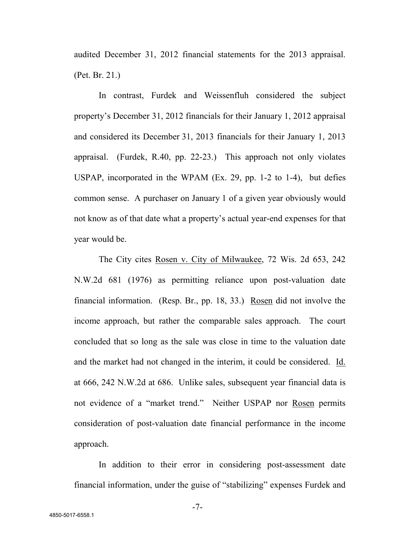audited December 31, 2012 financial statements for the 2013 appraisal. (Pet. Br. 21.)

In contrast, Furdek and Weissenfluh considered the subject property's December 31, 2012 financials for their January 1, 2012 appraisal and considered its December 31, 2013 financials for their January 1, 2013 appraisal. (Furdek, R.40, pp. 22-23.) This approach not only violates USPAP, incorporated in the WPAM (Ex. 29, pp. 1-2 to 1-4), but defies common sense. A purchaser on January 1 of a given year obviously would not know as of that date what a property's actual year-end expenses for that year would be.

The City cites Rosen v. City of Milwaukee, 72 Wis. 2d 653, 242 N.W.2d 681 (1976) as permitting reliance upon post-valuation date financial information. (Resp. Br., pp. 18, 33.) Rosen did not involve the income approach, but rather the comparable sales approach. The court concluded that so long as the sale was close in time to the valuation date and the market had not changed in the interim, it could be considered. Id. at 666, 242 N.W.2d at 686. Unlike sales, subsequent year financial data is not evidence of a "market trend." Neither USPAP nor Rosen permits consideration of post-valuation date financial performance in the income approach.

In addition to their error in considering post-assessment date financial information, under the guise of "stabilizing" expenses Furdek and

-7-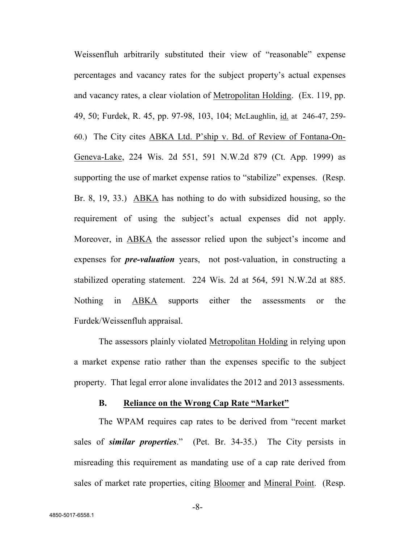Weissenfluh arbitrarily substituted their view of "reasonable" expense percentages and vacancy rates for the subject property's actual expenses and vacancy rates, a clear violation of Metropolitan Holding. (Ex. 119, pp. 49, 50; Furdek, R. 45, pp. 97-98, 103, 104; McLaughlin, id. at 246-47, 259- 60.) The City cites ABKA Ltd. P'ship v. Bd. of Review of Fontana-On-Geneva-Lake, 224 Wis. 2d 551, 591 N.W.2d 879 (Ct. App. 1999) as supporting the use of market expense ratios to "stabilize" expenses. (Resp. Br. 8, 19, 33.) ABKA has nothing to do with subsidized housing, so the requirement of using the subject's actual expenses did not apply. Moreover, in ABKA the assessor relied upon the subject's income and expenses for *pre-valuation* years, not post-valuation, in constructing a stabilized operating statement. 224 Wis. 2d at 564, 591 N.W.2d at 885. Nothing in ABKA supports either the assessments or the Furdek/Weissenfluh appraisal.

The assessors plainly violated Metropolitan Holding in relying upon a market expense ratio rather than the expenses specific to the subject property. That legal error alone invalidates the 2012 and 2013 assessments.

#### **B. Reliance on the Wrong Cap Rate "Market"**

The WPAM requires cap rates to be derived from "recent market sales of *similar properties*." (Pet. Br. 34-35.) The City persists in misreading this requirement as mandating use of a cap rate derived from sales of market rate properties, citing Bloomer and Mineral Point. (Resp.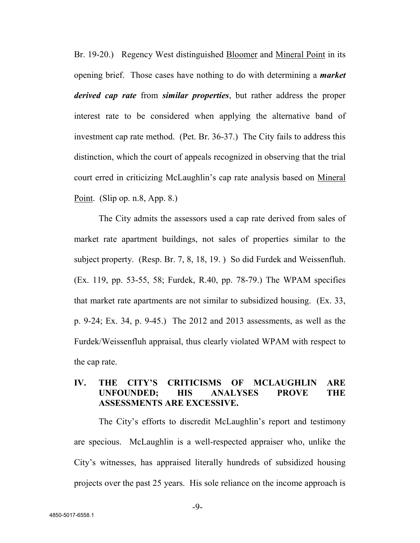Br. 19-20.) Regency West distinguished Bloomer and Mineral Point in its opening brief. Those cases have nothing to do with determining a *market derived cap rate* from *similar properties*, but rather address the proper interest rate to be considered when applying the alternative band of investment cap rate method. (Pet. Br. 36-37.) The City fails to address this distinction, which the court of appeals recognized in observing that the trial court erred in criticizing McLaughlin's cap rate analysis based on Mineral Point. (Slip op. n.8, App. 8.)

The City admits the assessors used a cap rate derived from sales of market rate apartment buildings, not sales of properties similar to the subject property. (Resp. Br. 7, 8, 18, 19. ) So did Furdek and Weissenfluh. (Ex. 119, pp. 53-55, 58; Furdek, R.40, pp. 78-79.) The WPAM specifies that market rate apartments are not similar to subsidized housing. (Ex. 33, p. 9-24; Ex. 34, p. 9-45.) The 2012 and 2013 assessments, as well as the Furdek/Weissenfluh appraisal, thus clearly violated WPAM with respect to the cap rate.

## **IV. THE CITY'S CRITICISMS OF MCLAUGHLIN ARE UNFOUNDED; HIS ANALYSES PROVE THE ASSESSMENTS ARE EXCESSIVE.**

The City's efforts to discredit McLaughlin's report and testimony are specious. McLaughlin is a well-respected appraiser who, unlike the City's witnesses, has appraised literally hundreds of subsidized housing projects over the past 25 years. His sole reliance on the income approach is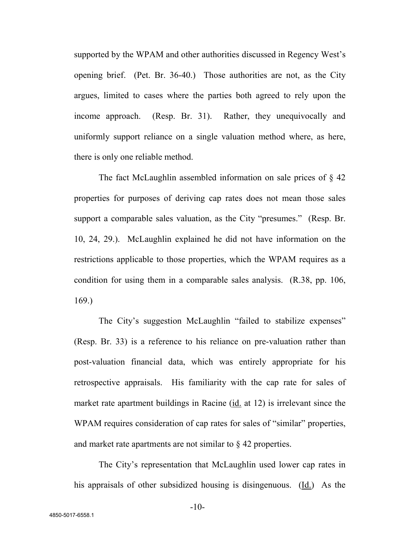supported by the WPAM and other authorities discussed in Regency West's opening brief. (Pet. Br. 36-40.) Those authorities are not, as the City argues, limited to cases where the parties both agreed to rely upon the income approach. (Resp. Br. 31). Rather, they unequivocally and uniformly support reliance on a single valuation method where, as here, there is only one reliable method.

The fact McLaughlin assembled information on sale prices of  $\S$  42 properties for purposes of deriving cap rates does not mean those sales support a comparable sales valuation, as the City "presumes." (Resp. Br. 10, 24, 29.). McLaughlin explained he did not have information on the restrictions applicable to those properties, which the WPAM requires as a condition for using them in a comparable sales analysis. (R.38, pp. 106, 169.)

The City's suggestion McLaughlin "failed to stabilize expenses" (Resp. Br. 33) is a reference to his reliance on pre-valuation rather than post-valuation financial data, which was entirely appropriate for his retrospective appraisals. His familiarity with the cap rate for sales of market rate apartment buildings in Racine (id. at 12) is irrelevant since the WPAM requires consideration of cap rates for sales of "similar" properties, and market rate apartments are not similar to § 42 properties.

The City's representation that McLaughlin used lower cap rates in his appraisals of other subsidized housing is disingenuous. (Id.) As the

-10-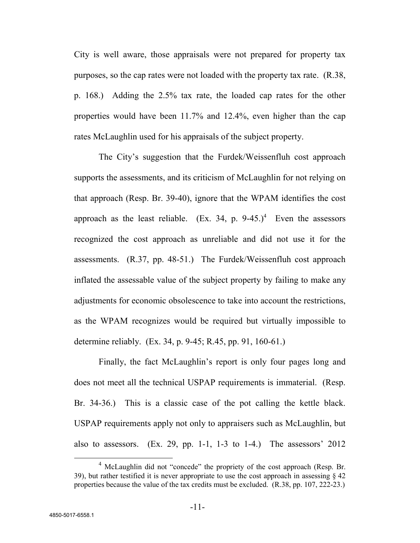City is well aware, those appraisals were not prepared for property tax purposes, so the cap rates were not loaded with the property tax rate. (R.38, p. 168.) Adding the 2.5% tax rate, the loaded cap rates for the other properties would have been 11.7% and 12.4%, even higher than the cap rates McLaughlin used for his appraisals of the subject property.

The City's suggestion that the Furdek/Weissenfluh cost approach supports the assessments, and its criticism of McLaughlin for not relying on that approach (Resp. Br. 39-40), ignore that the WPAM identifies the cost approach as the least reliable. (Ex. 34, p.  $9-45.$ )<sup>4</sup> Even the assessors recognized the cost approach as unreliable and did not use it for the assessments. (R.37, pp. 48-51.) The Furdek/Weissenfluh cost approach inflated the assessable value of the subject property by failing to make any adjustments for economic obsolescence to take into account the restrictions, as the WPAM recognizes would be required but virtually impossible to determine reliably. (Ex. 34, p. 9-45; R.45, pp. 91, 160-61.)

Finally, the fact McLaughlin's report is only four pages long and does not meet all the technical USPAP requirements is immaterial. (Resp. Br. 34-36.) This is a classic case of the pot calling the kettle black. USPAP requirements apply not only to appraisers such as McLaughlin, but also to assessors. (Ex. 29, pp. 1-1, 1-3 to 1-4.) The assessors' 2012

 $<sup>4</sup>$  McLaughlin did not "concede" the propriety of the cost approach (Resp. Br.</sup> 39), but rather testified it is never appropriate to use the cost approach in assessing  $\S$  42 properties because the value of the tax credits must be excluded. (R.38, pp. 107, 222-23.)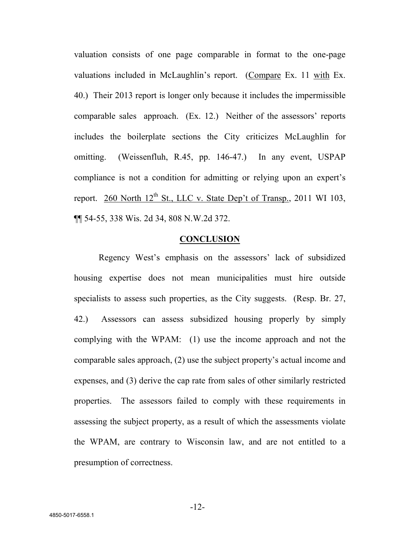valuation consists of one page comparable in format to the one-page valuations included in McLaughlin's report. (Compare Ex. 11 with Ex. 40.) Their 2013 report is longer only because it includes the impermissible comparable sales approach. (Ex. 12.) Neither of the assessors' reports includes the boilerplate sections the City criticizes McLaughlin for omitting. (Weissenfluh, R.45, pp. 146-47.) In any event, USPAP compliance is not a condition for admitting or relying upon an expert's report. 260 North  $12^{th}$  St., LLC v. State Dep't of Transp., 2011 WI 103, ¶¶ 54-55, 338 Wis. 2d 34, 808 N.W.2d 372.

#### **CONCLUSION**

Regency West's emphasis on the assessors' lack of subsidized housing expertise does not mean municipalities must hire outside specialists to assess such properties, as the City suggests. (Resp. Br. 27, 42.) Assessors can assess subsidized housing properly by simply complying with the WPAM: (1) use the income approach and not the comparable sales approach, (2) use the subject property's actual income and expenses, and (3) derive the cap rate from sales of other similarly restricted properties. The assessors failed to comply with these requirements in assessing the subject property, as a result of which the assessments violate the WPAM, are contrary to Wisconsin law, and are not entitled to a presumption of correctness.

-12-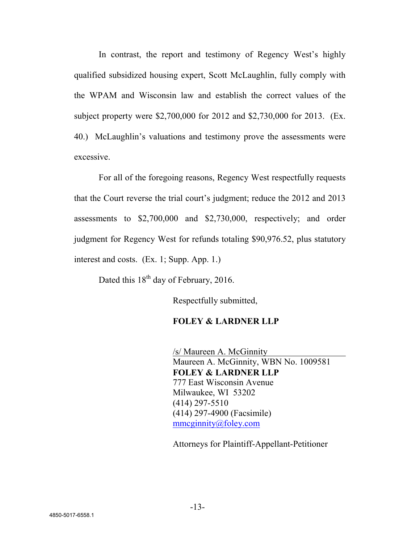In contrast, the report and testimony of Regency West's highly qualified subsidized housing expert, Scott McLaughlin, fully comply with the WPAM and Wisconsin law and establish the correct values of the subject property were \$2,700,000 for 2012 and \$2,730,000 for 2013. (Ex. 40.) McLaughlin's valuations and testimony prove the assessments were excessive.

For all of the foregoing reasons, Regency West respectfully requests that the Court reverse the trial court's judgment; reduce the 2012 and 2013 assessments to \$2,700,000 and \$2,730,000, respectively; and order judgment for Regency West for refunds totaling \$90,976.52, plus statutory interest and costs. (Ex. 1; Supp. App. 1.)

Dated this  $18<sup>th</sup>$  day of February, 2016.

Respectfully submitted,

## **FOLEY & LARDNER LLP**

/s/ Maureen A. McGinnity Maureen A. McGinnity, WBN No. 1009581 **FOLEY & LARDNER LLP** 777 East Wisconsin Avenue Milwaukee, WI 53202 (414) 297-5510 (414) 297-4900 (Facsimile) mmcginnity@foley.com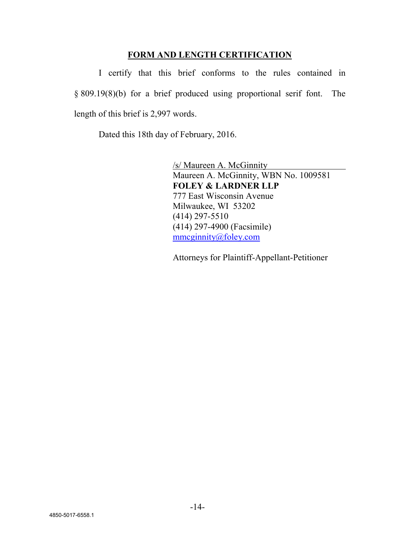#### **FORM AND LENGTH CERTIFICATION**

I certify that this brief conforms to the rules contained in § 809.19(8)(b) for a brief produced using proportional serif font. The length of this brief is 2,997 words.

Dated this 18th day of February, 2016.

/s/ Maureen A. McGinnity Maureen A. McGinnity, WBN No. 1009581 **FOLEY & LARDNER LLP** 777 East Wisconsin Avenue Milwaukee, WI 53202 (414) 297-5510 (414) 297-4900 (Facsimile) mmcginnity@foley.com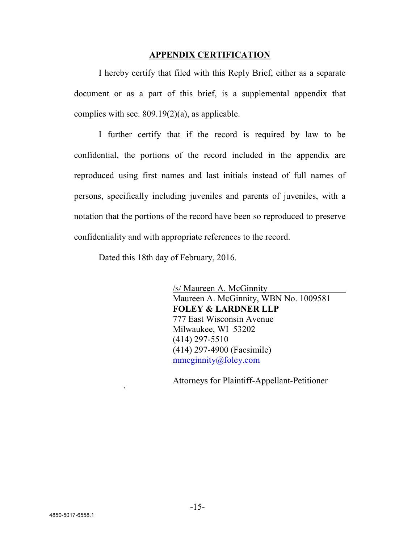#### **APPENDIX CERTIFICATION**

I hereby certify that filed with this Reply Brief, either as a separate document or as a part of this brief, is a supplemental appendix that complies with sec. 809.19(2)(a), as applicable.

I further certify that if the record is required by law to be confidential, the portions of the record included in the appendix are reproduced using first names and last initials instead of full names of persons, specifically including juveniles and parents of juveniles, with a notation that the portions of the record have been so reproduced to preserve confidentiality and with appropriate references to the record.

Dated this 18th day of February, 2016.

`

/s/ Maureen A. McGinnity Maureen A. McGinnity, WBN No. 1009581 **FOLEY & LARDNER LLP** 777 East Wisconsin Avenue Milwaukee, WI 53202 (414) 297-5510 (414) 297-4900 (Facsimile) mmcginnity@foley.com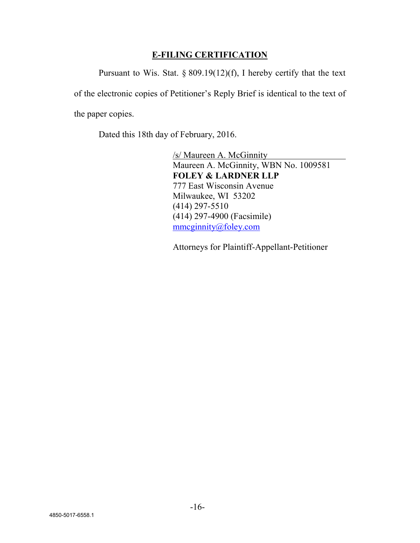## **E-FILING CERTIFICATION**

Pursuant to Wis. Stat.  $\S 809.19(12)(f)$ , I hereby certify that the text of the electronic copies of Petitioner's Reply Brief is identical to the text of the paper copies.

Dated this 18th day of February, 2016.

/s/ Maureen A. McGinnity Maureen A. McGinnity, WBN No. 1009581 **FOLEY & LARDNER LLP** 777 East Wisconsin Avenue Milwaukee, WI 53202 (414) 297-5510 (414) 297-4900 (Facsimile) mmcginnity@foley.com